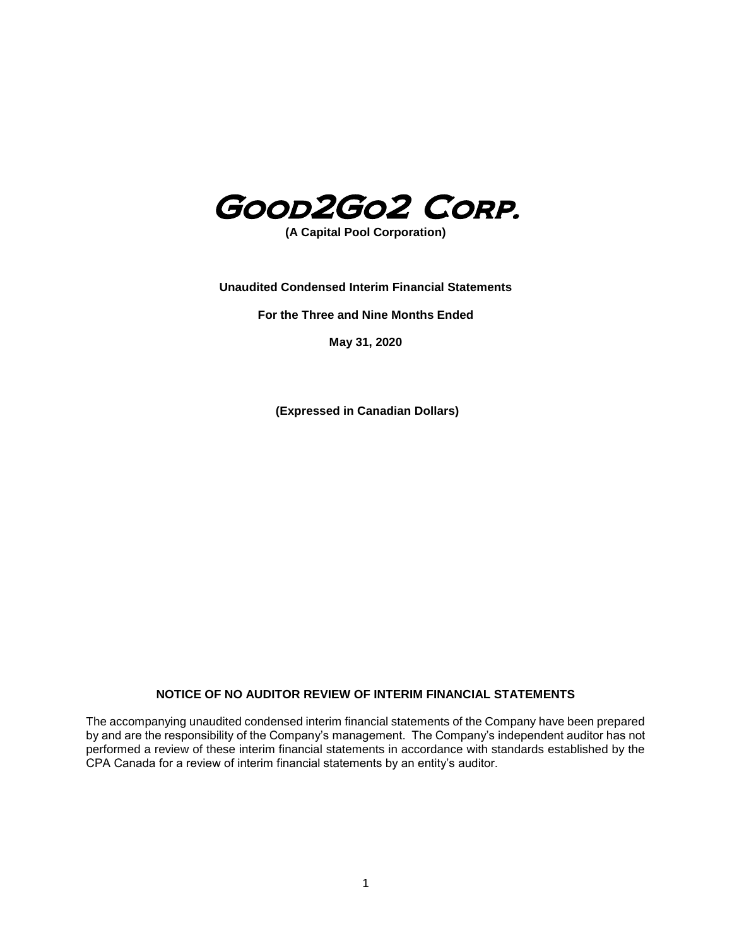

**(A Capital Pool Corporation)**

**Unaudited Condensed Interim Financial Statements**

**For the Three and Nine Months Ended** 

**May 31, 2020**

**(Expressed in Canadian Dollars)**

## **NOTICE OF NO AUDITOR REVIEW OF INTERIM FINANCIAL STATEMENTS**

The accompanying unaudited condensed interim financial statements of the Company have been prepared by and are the responsibility of the Company's management. The Company's independent auditor has not performed a review of these interim financial statements in accordance with standards established by the CPA Canada for a review of interim financial statements by an entity's auditor.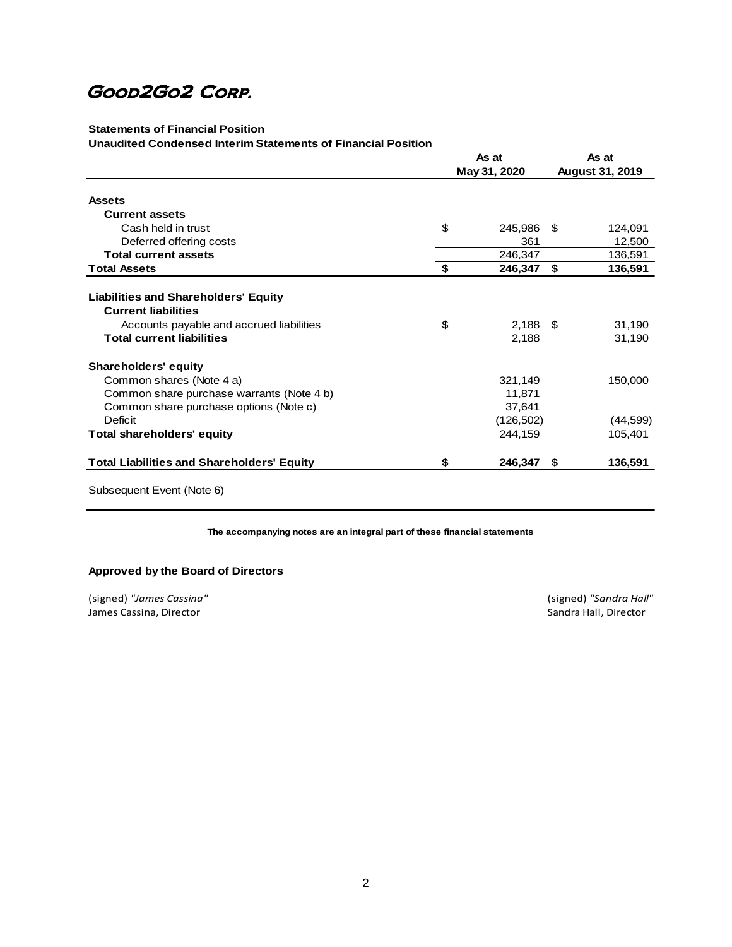## **Statements of Financial Position**

#### **Unaudited Condensed Interim Statements of Financial Position**

|                                                   | As at |              | As at |                        |
|---------------------------------------------------|-------|--------------|-------|------------------------|
|                                                   |       | May 31, 2020 |       | <b>August 31, 2019</b> |
| <b>Assets</b>                                     |       |              |       |                        |
| <b>Current assets</b>                             |       |              |       |                        |
| Cash held in trust                                | \$    | 245,986      | \$    | 124,091                |
| Deferred offering costs                           |       | 361          |       | 12,500                 |
| <b>Total current assets</b>                       |       | 246,347      |       | 136,591                |
| <b>Total Assets</b>                               | \$    | 246,347      | \$    | 136,591                |
|                                                   |       |              |       |                        |
| <b>Liabilities and Shareholders' Equity</b>       |       |              |       |                        |
| <b>Current liabilities</b>                        |       |              |       |                        |
| Accounts payable and accrued liabilities          | -\$   | 2,188        | \$    | 31,190                 |
| <b>Total current liabilities</b>                  |       | 2,188        |       | 31,190                 |
| <b>Shareholders' equity</b>                       |       |              |       |                        |
| Common shares (Note 4 a)                          |       | 321,149      |       | 150,000                |
| Common share purchase warrants (Note 4 b)         |       | 11,871       |       |                        |
| Common share purchase options (Note c)            |       | 37,641       |       |                        |
| Deficit                                           |       | (126,502)    |       | (44,599)               |
| <b>Total shareholders' equity</b>                 |       | 244,159      |       | 105,401                |
| <b>Total Liabilities and Shareholders' Equity</b> | \$    | 246,347      | \$    | 136,591                |
| Subsequent Event (Note 6)                         |       |              |       |                        |

**The accompanying notes are an integral part of these financial statements**

#### **Approved by the Board of Directors**

(signed) *"James Cassina"* (signed) *"Sandra Hall"* **James Cassina, Director Cassina, Director** Sandra Hall, Director **Sandra Hall, Director**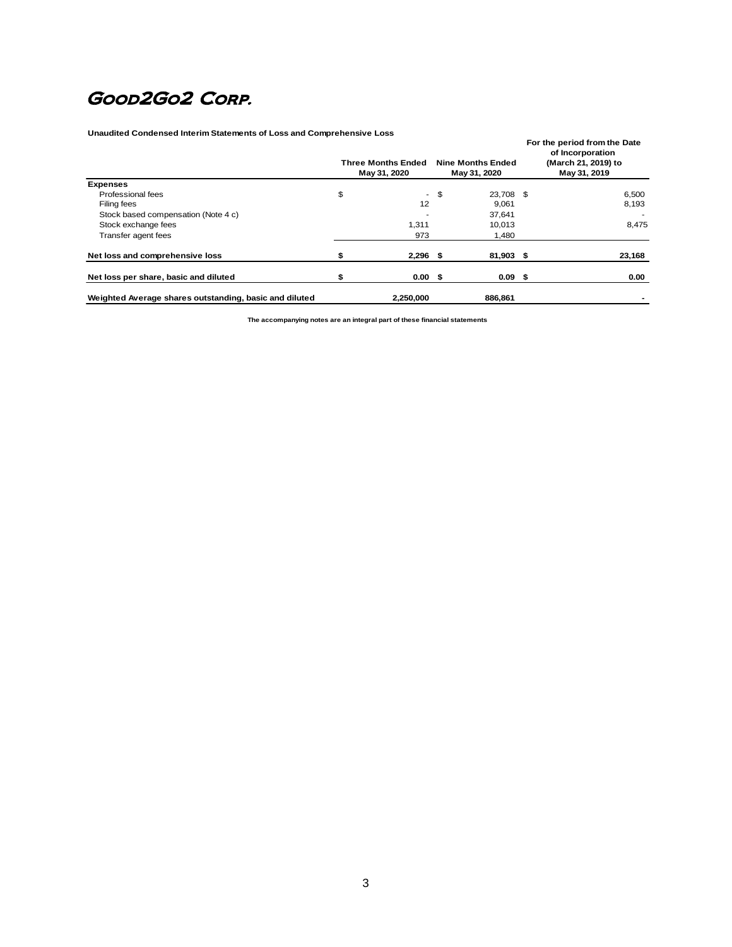**Unaudited Condensed Interim Statements of Loss and Comprehensive Loss**

| Unaudited Condensed Interim Statements of Loss and Comprenensive Loss | <b>Three Months Ended</b><br>May 31, 2020 |      | <b>Nine Months Ended</b><br>May 31, 2020 | For the period from the Date<br>of Incorporation<br>(March 21, 2019) to<br>May 31, 2019 |
|-----------------------------------------------------------------------|-------------------------------------------|------|------------------------------------------|-----------------------------------------------------------------------------------------|
| <b>Expenses</b>                                                       |                                           |      |                                          |                                                                                         |
| Professional fees                                                     | \$                                        | - \$ | 23,708 \$                                | 6,500                                                                                   |
| Filing fees                                                           | 12                                        |      | 9,061                                    | 8,193                                                                                   |
| Stock based compensation (Note 4 c)                                   |                                           |      | 37,641                                   |                                                                                         |
| Stock exchange fees                                                   | 1.311                                     |      | 10.013                                   | 8,475                                                                                   |
| Transfer agent fees                                                   | 973                                       |      | 1,480                                    |                                                                                         |
| Net loss and comprehensive loss                                       | $2,296$ \$                                |      | 81,903 \$                                | 23,168                                                                                  |
| Net loss per share, basic and diluted                                 | 0.00 <sup>5</sup>                         |      | 0.09 <sup>5</sup>                        | 0.00                                                                                    |
| Weighted Average shares outstanding, basic and diluted                | 2,250,000                                 |      | 886,861                                  |                                                                                         |

**The accompanying notes are an integral part of these financial statements**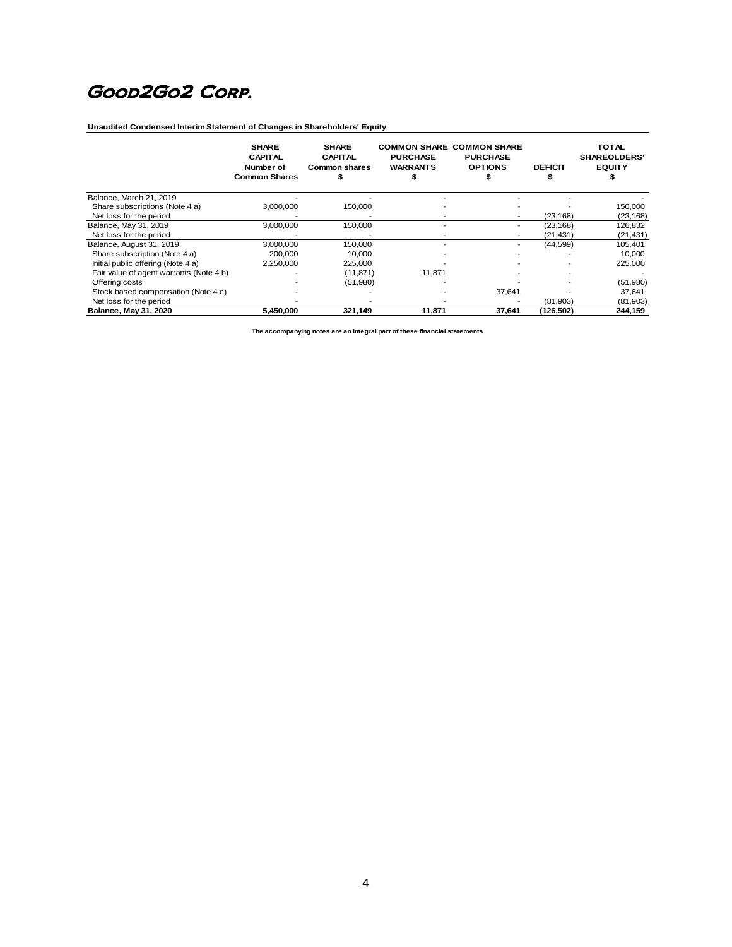**Unaudited Condensed Interim Statement of Changes in Shareholders' Equity** 

|                                         | <b>SHARE</b><br><b>CAPITAL</b><br>Number of<br><b>Common Shares</b> | <b>SHARE</b><br><b>CAPITAL</b><br><b>Common shares</b> | <b>PURCHASE</b><br><b>WARRANTS</b> | <b>COMMON SHARE COMMON SHARE</b><br><b>PURCHASE</b><br><b>OPTIONS</b> | <b>DEFICIT</b> | <b>TOTAL</b><br><b>SHAREOLDERS'</b><br><b>EQUITY</b> |
|-----------------------------------------|---------------------------------------------------------------------|--------------------------------------------------------|------------------------------------|-----------------------------------------------------------------------|----------------|------------------------------------------------------|
| Balance, March 21, 2019                 |                                                                     |                                                        |                                    |                                                                       |                |                                                      |
| Share subscriptions (Note 4 a)          | 3,000,000                                                           | 150,000                                                |                                    |                                                                       |                | 150,000                                              |
| Net loss for the period                 |                                                                     |                                                        |                                    | $\overline{\phantom{a}}$                                              | (23, 168)      | (23, 168)                                            |
| Balance, May 31, 2019                   | 3,000,000                                                           | 150,000                                                |                                    | $\overline{\phantom{a}}$                                              | (23, 168)      | 126,832                                              |
| Net loss for the period                 |                                                                     |                                                        |                                    |                                                                       | (21, 431)      | (21, 431)                                            |
| Balance, August 31, 2019                | 3,000,000                                                           | 150,000                                                |                                    |                                                                       | (44,599)       | 105,401                                              |
| Share subscription (Note 4 a)           | 200,000                                                             | 10,000                                                 |                                    |                                                                       |                | 10,000                                               |
| Initial public offering (Note 4 a)      | 2,250,000                                                           | 225,000                                                |                                    |                                                                       |                | 225,000                                              |
| Fair value of agent warrants (Note 4 b) |                                                                     | (11, 871)                                              | 11,871                             |                                                                       |                |                                                      |
| Offering costs                          |                                                                     | (51,980)                                               |                                    |                                                                       |                | (51,980)                                             |
| Stock based compensation (Note 4 c)     |                                                                     |                                                        |                                    | 37,641                                                                |                | 37,641                                               |
| Net loss for the period                 |                                                                     |                                                        |                                    |                                                                       | (81,903)       | (81,903)                                             |
| Balance, May 31, 2020                   | 5,450,000                                                           | 321,149                                                | 11,871                             | 37,641                                                                | (126, 502)     | 244,159                                              |

**The accompanying notes are an integral part of these financial statements**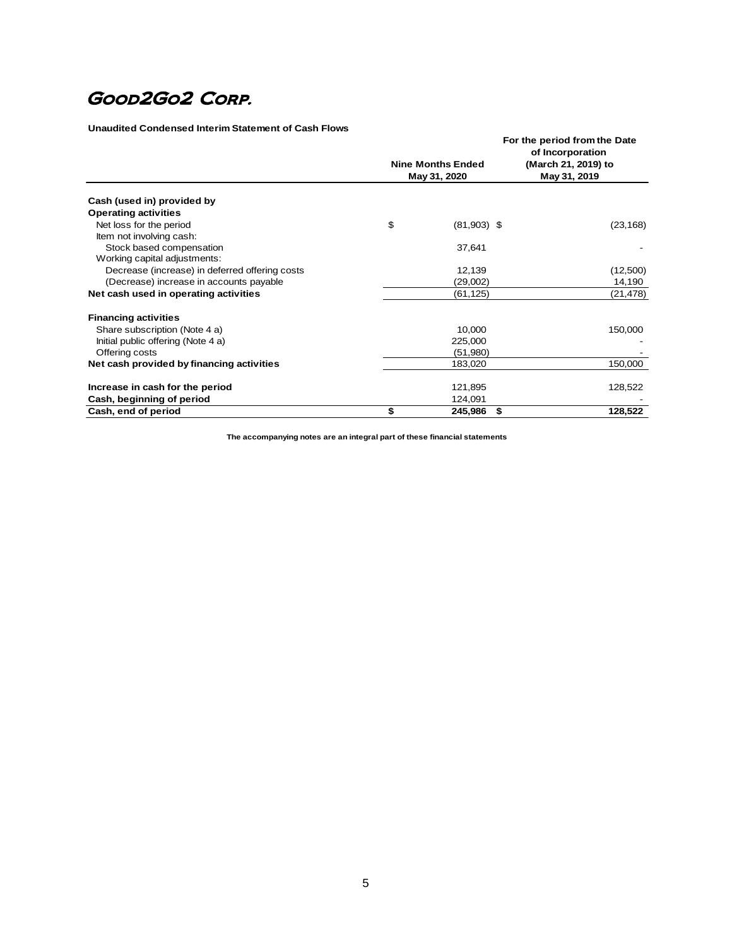#### **Unaudited Condensed Interim Statement of Cash Flows**

|                                                          | <b>Nine Months Ended</b><br>May 31, 2020 | For the period from the Date<br>of Incorporation<br>(March 21, 2019) to<br>May 31, 2019 |
|----------------------------------------------------------|------------------------------------------|-----------------------------------------------------------------------------------------|
| Cash (used in) provided by                               |                                          |                                                                                         |
| <b>Operating activities</b>                              |                                          |                                                                                         |
| Net loss for the period<br>Item not involving cash:      | \$<br>$(81,903)$ \$                      | (23, 168)                                                                               |
| Stock based compensation<br>Working capital adjustments: | 37,641                                   |                                                                                         |
| Decrease (increase) in deferred offering costs           | 12,139                                   | (12,500)                                                                                |
| (Decrease) increase in accounts payable                  | (29,002)                                 | 14,190                                                                                  |
| Net cash used in operating activities                    | (61, 125)                                | (21,478)                                                                                |
| <b>Financing activities</b>                              |                                          |                                                                                         |
| Share subscription (Note 4 a)                            | 10,000                                   | 150,000                                                                                 |
| Initial public offering (Note 4 a)                       | 225,000                                  |                                                                                         |
| Offering costs                                           | (51,980)                                 |                                                                                         |
| Net cash provided by financing activities                | 183,020                                  | 150,000                                                                                 |
| Increase in cash for the period                          | 121,895                                  | 128,522                                                                                 |
| Cash, beginning of period                                | 124,091                                  |                                                                                         |
| Cash, end of period                                      | \$<br>\$<br>245,986                      | 128,522                                                                                 |

**The accompanying notes are an integral part of these financial statements**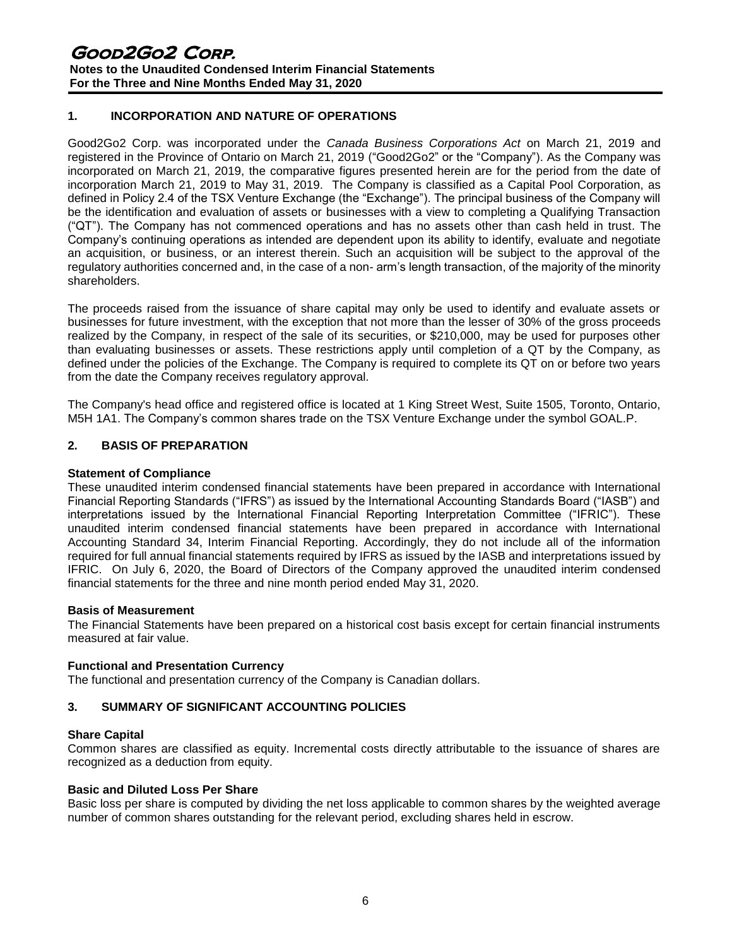# **1. INCORPORATION AND NATURE OF OPERATIONS**

Good2Go2 Corp. was incorporated under the *Canada Business Corporations Act* on March 21, 2019 and registered in the Province of Ontario on March 21, 2019 ("Good2Go2" or the "Company"). As the Company was incorporated on March 21, 2019, the comparative figures presented herein are for the period from the date of incorporation March 21, 2019 to May 31, 2019. The Company is classified as a Capital Pool Corporation, as defined in Policy 2.4 of the TSX Venture Exchange (the "Exchange"). The principal business of the Company will be the identification and evaluation of assets or businesses with a view to completing a Qualifying Transaction ("QT"). The Company has not commenced operations and has no assets other than cash held in trust. The Company's continuing operations as intended are dependent upon its ability to identify, evaluate and negotiate an acquisition, or business, or an interest therein. Such an acquisition will be subject to the approval of the regulatory authorities concerned and, in the case of a non- arm's length transaction, of the majority of the minority shareholders.

The proceeds raised from the issuance of share capital may only be used to identify and evaluate assets or businesses for future investment, with the exception that not more than the lesser of 30% of the gross proceeds realized by the Company, in respect of the sale of its securities, or \$210,000, may be used for purposes other than evaluating businesses or assets. These restrictions apply until completion of a QT by the Company, as defined under the policies of the Exchange. The Company is required to complete its QT on or before two years from the date the Company receives regulatory approval.

The Company's head office and registered office is located at 1 King Street West, Suite 1505, Toronto, Ontario, M5H 1A1. The Company's common shares trade on the TSX Venture Exchange under the symbol GOAL.P.

## **2. BASIS OF PREPARATION**

#### **Statement of Compliance**

These unaudited interim condensed financial statements have been prepared in accordance with International Financial Reporting Standards ("IFRS") as issued by the International Accounting Standards Board ("IASB") and interpretations issued by the International Financial Reporting Interpretation Committee ("IFRIC"). These unaudited interim condensed financial statements have been prepared in accordance with International Accounting Standard 34, Interim Financial Reporting. Accordingly, they do not include all of the information required for full annual financial statements required by IFRS as issued by the IASB and interpretations issued by IFRIC. On July 6, 2020, the Board of Directors of the Company approved the unaudited interim condensed financial statements for the three and nine month period ended May 31, 2020.

#### **Basis of Measurement**

The Financial Statements have been prepared on a historical cost basis except for certain financial instruments measured at fair value.

## **Functional and Presentation Currency**

The functional and presentation currency of the Company is Canadian dollars.

## **3. SUMMARY OF SIGNIFICANT ACCOUNTING POLICIES**

## **Share Capital**

Common shares are classified as equity. Incremental costs directly attributable to the issuance of shares are recognized as a deduction from equity.

## **Basic and Diluted Loss Per Share**

Basic loss per share is computed by dividing the net loss applicable to common shares by the weighted average number of common shares outstanding for the relevant period, excluding shares held in escrow.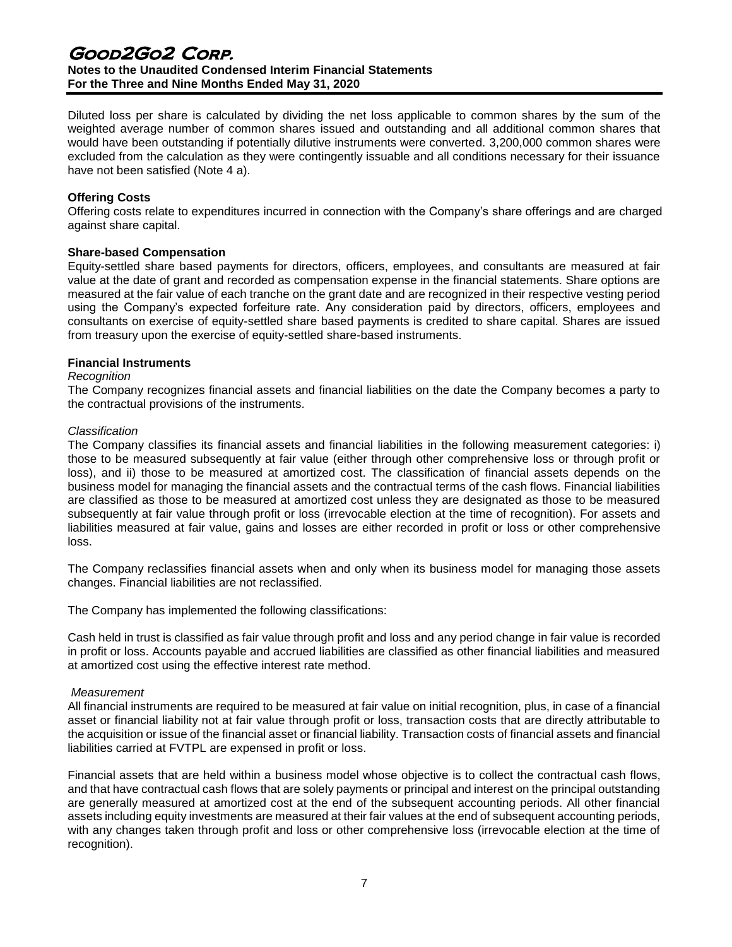# Good2Go2 Corp. **Notes to the Unaudited Condensed Interim Financial Statements For the Three and Nine Months Ended May 31, 2020**

Diluted loss per share is calculated by dividing the net loss applicable to common shares by the sum of the weighted average number of common shares issued and outstanding and all additional common shares that would have been outstanding if potentially dilutive instruments were converted. 3,200,000 common shares were excluded from the calculation as they were contingently issuable and all conditions necessary for their issuance have not been satisfied (Note 4 a).

## **Offering Costs**

Offering costs relate to expenditures incurred in connection with the Company's share offerings and are charged against share capital.

## **Share-based Compensation**

Equity-settled share based payments for directors, officers, employees, and consultants are measured at fair value at the date of grant and recorded as compensation expense in the financial statements. Share options are measured at the fair value of each tranche on the grant date and are recognized in their respective vesting period using the Company's expected forfeiture rate. Any consideration paid by directors, officers, employees and consultants on exercise of equity-settled share based payments is credited to share capital. Shares are issued from treasury upon the exercise of equity-settled share-based instruments.

## **Financial Instruments**

## *Recognition*

The Company recognizes financial assets and financial liabilities on the date the Company becomes a party to the contractual provisions of the instruments.

#### *Classification*

The Company classifies its financial assets and financial liabilities in the following measurement categories: i) those to be measured subsequently at fair value (either through other comprehensive loss or through profit or loss), and ii) those to be measured at amortized cost. The classification of financial assets depends on the business model for managing the financial assets and the contractual terms of the cash flows. Financial liabilities are classified as those to be measured at amortized cost unless they are designated as those to be measured subsequently at fair value through profit or loss (irrevocable election at the time of recognition). For assets and liabilities measured at fair value, gains and losses are either recorded in profit or loss or other comprehensive loss.

The Company reclassifies financial assets when and only when its business model for managing those assets changes. Financial liabilities are not reclassified.

The Company has implemented the following classifications:

Cash held in trust is classified as fair value through profit and loss and any period change in fair value is recorded in profit or loss. Accounts payable and accrued liabilities are classified as other financial liabilities and measured at amortized cost using the effective interest rate method.

## *Measurement*

All financial instruments are required to be measured at fair value on initial recognition, plus, in case of a financial asset or financial liability not at fair value through profit or loss, transaction costs that are directly attributable to the acquisition or issue of the financial asset or financial liability. Transaction costs of financial assets and financial liabilities carried at FVTPL are expensed in profit or loss.

Financial assets that are held within a business model whose objective is to collect the contractual cash flows, and that have contractual cash flows that are solely payments or principal and interest on the principal outstanding are generally measured at amortized cost at the end of the subsequent accounting periods. All other financial assets including equity investments are measured at their fair values at the end of subsequent accounting periods, with any changes taken through profit and loss or other comprehensive loss (irrevocable election at the time of recognition).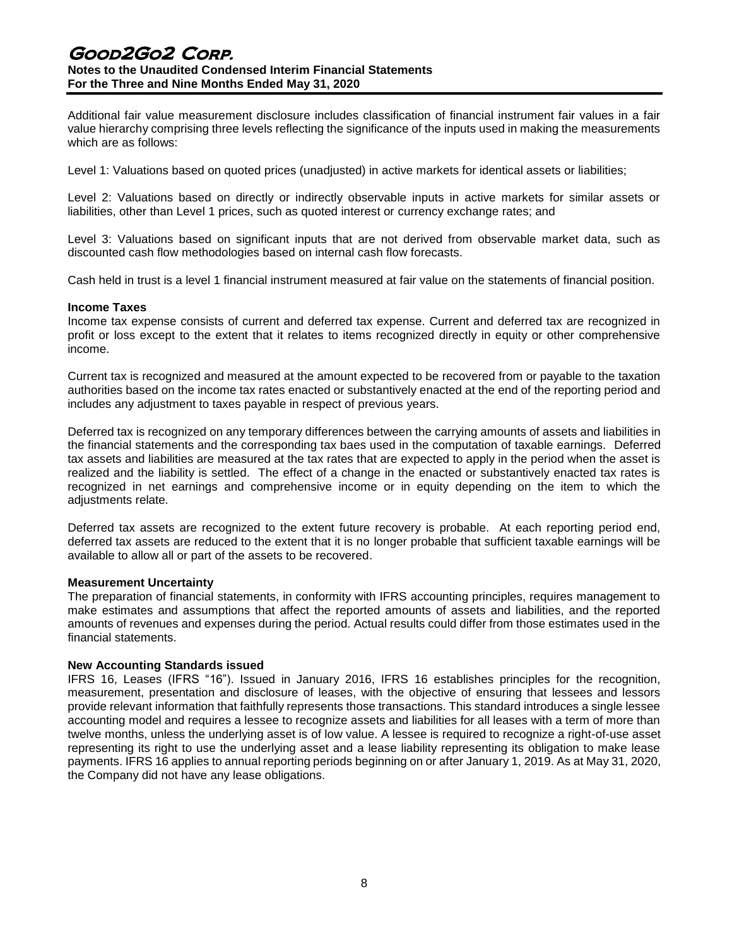# Good2Go2 Corp. **Notes to the Unaudited Condensed Interim Financial Statements For the Three and Nine Months Ended May 31, 2020**

Additional fair value measurement disclosure includes classification of financial instrument fair values in a fair value hierarchy comprising three levels reflecting the significance of the inputs used in making the measurements which are as follows:

Level 1: Valuations based on quoted prices (unadjusted) in active markets for identical assets or liabilities;

Level 2: Valuations based on directly or indirectly observable inputs in active markets for similar assets or liabilities, other than Level 1 prices, such as quoted interest or currency exchange rates; and

Level 3: Valuations based on significant inputs that are not derived from observable market data, such as discounted cash flow methodologies based on internal cash flow forecasts.

Cash held in trust is a level 1 financial instrument measured at fair value on the statements of financial position.

#### **Income Taxes**

Income tax expense consists of current and deferred tax expense. Current and deferred tax are recognized in profit or loss except to the extent that it relates to items recognized directly in equity or other comprehensive income.

Current tax is recognized and measured at the amount expected to be recovered from or payable to the taxation authorities based on the income tax rates enacted or substantively enacted at the end of the reporting period and includes any adjustment to taxes payable in respect of previous years.

Deferred tax is recognized on any temporary differences between the carrying amounts of assets and liabilities in the financial statements and the corresponding tax baes used in the computation of taxable earnings. Deferred tax assets and liabilities are measured at the tax rates that are expected to apply in the period when the asset is realized and the liability is settled. The effect of a change in the enacted or substantively enacted tax rates is recognized in net earnings and comprehensive income or in equity depending on the item to which the adjustments relate.

Deferred tax assets are recognized to the extent future recovery is probable. At each reporting period end, deferred tax assets are reduced to the extent that it is no longer probable that sufficient taxable earnings will be available to allow all or part of the assets to be recovered.

#### **Measurement Uncertainty**

The preparation of financial statements, in conformity with IFRS accounting principles, requires management to make estimates and assumptions that affect the reported amounts of assets and liabilities, and the reported amounts of revenues and expenses during the period. Actual results could differ from those estimates used in the financial statements.

#### **New Accounting Standards issued**

IFRS 16, Leases (IFRS "16"). Issued in January 2016, IFRS 16 establishes principles for the recognition, measurement, presentation and disclosure of leases, with the objective of ensuring that lessees and lessors provide relevant information that faithfully represents those transactions. This standard introduces a single lessee accounting model and requires a lessee to recognize assets and liabilities for all leases with a term of more than twelve months, unless the underlying asset is of low value. A lessee is required to recognize a right-of-use asset representing its right to use the underlying asset and a lease liability representing its obligation to make lease payments. IFRS 16 applies to annual reporting periods beginning on or after January 1, 2019. As at May 31, 2020, the Company did not have any lease obligations.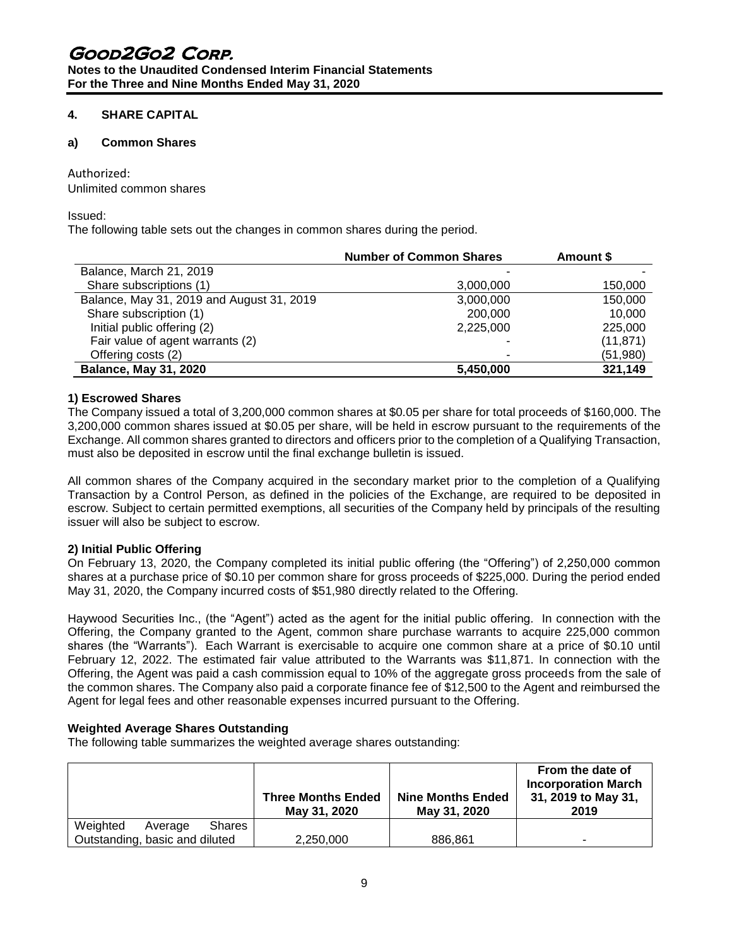**Notes to the Unaudited Condensed Interim Financial Statements For the Three and Nine Months Ended May 31, 2020**

## **4. SHARE CAPITAL**

## **a) Common Shares**

## Authorized:

Unlimited common shares

Issued:

The following table sets out the changes in common shares during the period.

|                                           | <b>Number of Common Shares</b> | Amount \$ |
|-------------------------------------------|--------------------------------|-----------|
| Balance, March 21, 2019                   |                                |           |
| Share subscriptions (1)                   | 3,000,000                      | 150,000   |
| Balance, May 31, 2019 and August 31, 2019 | 3,000,000                      | 150,000   |
| Share subscription (1)                    | 200,000                        | 10,000    |
| Initial public offering (2)               | 2,225,000                      | 225,000   |
| Fair value of agent warrants (2)          |                                | (11, 871) |
| Offering costs (2)                        |                                | (51,980)  |
| <b>Balance, May 31, 2020</b>              | 5,450,000                      | 321,149   |

## **1) Escrowed Shares**

The Company issued a total of 3,200,000 common shares at \$0.05 per share for total proceeds of \$160,000. The 3,200,000 common shares issued at \$0.05 per share, will be held in escrow pursuant to the requirements of the Exchange. All common shares granted to directors and officers prior to the completion of a Qualifying Transaction, must also be deposited in escrow until the final exchange bulletin is issued.

All common shares of the Company acquired in the secondary market prior to the completion of a Qualifying Transaction by a Control Person, as defined in the policies of the Exchange, are required to be deposited in escrow. Subject to certain permitted exemptions, all securities of the Company held by principals of the resulting issuer will also be subject to escrow.

## **2) Initial Public Offering**

On February 13, 2020, the Company completed its initial public offering (the "Offering") of 2,250,000 common shares at a purchase price of \$0.10 per common share for gross proceeds of \$225,000. During the period ended May 31, 2020, the Company incurred costs of \$51,980 directly related to the Offering.

Haywood Securities Inc., (the "Agent") acted as the agent for the initial public offering. In connection with the Offering, the Company granted to the Agent, common share purchase warrants to acquire 225,000 common shares (the "Warrants"). Each Warrant is exercisable to acquire one common share at a price of \$0.10 until February 12, 2022. The estimated fair value attributed to the Warrants was \$11,871. In connection with the Offering, the Agent was paid a cash commission equal to 10% of the aggregate gross proceeds from the sale of the common shares. The Company also paid a corporate finance fee of \$12,500 to the Agent and reimbursed the Agent for legal fees and other reasonable expenses incurred pursuant to the Offering.

# **Weighted Average Shares Outstanding**

The following table summarizes the weighted average shares outstanding:

|                                      | <b>Three Months Ended</b><br>May 31, 2020 | <b>Nine Months Ended</b><br>May 31, 2020 | From the date of<br><b>Incorporation March</b><br>31, 2019 to May 31,<br>2019 |
|--------------------------------------|-------------------------------------------|------------------------------------------|-------------------------------------------------------------------------------|
| Weighted<br><b>Shares</b><br>Average |                                           |                                          |                                                                               |
| Outstanding, basic and diluted       | 2,250,000                                 | 886,861                                  | -                                                                             |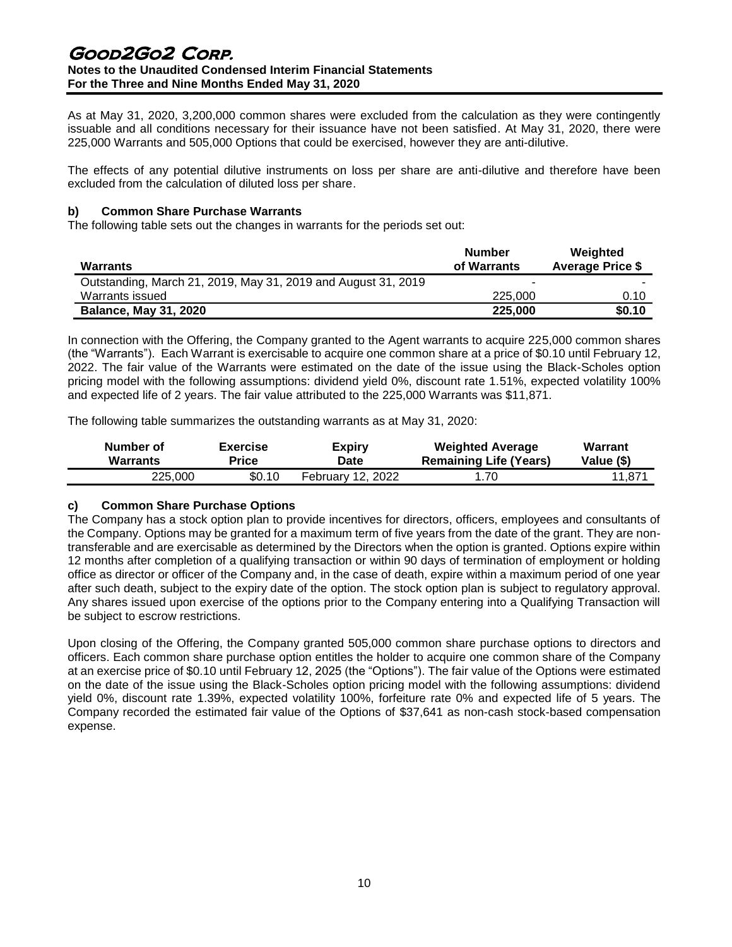As at May 31, 2020, 3,200,000 common shares were excluded from the calculation as they were contingently issuable and all conditions necessary for their issuance have not been satisfied. At May 31, 2020, there were 225,000 Warrants and 505,000 Options that could be exercised, however they are anti-dilutive.

The effects of any potential dilutive instruments on loss per share are anti-dilutive and therefore have been excluded from the calculation of diluted loss per share.

## **b) Common Share Purchase Warrants**

The following table sets out the changes in warrants for the periods set out:

| Warrants                                                      | <b>Number</b><br>of Warrants | Weighted<br><b>Average Price \$</b> |
|---------------------------------------------------------------|------------------------------|-------------------------------------|
| Outstanding, March 21, 2019, May 31, 2019 and August 31, 2019 |                              |                                     |
| Warrants issued                                               | 225,000                      | 0.10                                |
| <b>Balance, May 31, 2020</b>                                  | 225,000                      | \$0.10                              |

In connection with the Offering, the Company granted to the Agent warrants to acquire 225,000 common shares (the "Warrants"). Each Warrant is exercisable to acquire one common share at a price of \$0.10 until February 12, 2022. The fair value of the Warrants were estimated on the date of the issue using the Black-Scholes option pricing model with the following assumptions: dividend yield 0%, discount rate 1.51%, expected volatility 100% and expected life of 2 years. The fair value attributed to the 225,000 Warrants was \$11,871.

The following table summarizes the outstanding warrants as at May 31, 2020:

| Number of       | <b>Exercise</b> | <b>Expiry</b>            | <b>Weighted Average</b>       | Warrant    |
|-----------------|-----------------|--------------------------|-------------------------------|------------|
| <b>Warrants</b> | Price           | Date                     | <b>Remaining Life (Years)</b> | Value (\$) |
| 225.000         | \$0.10          | <b>February 12, 2022</b> | 1.70                          | 11,871     |

## **c) Common Share Purchase Options**

The Company has a stock option plan to provide incentives for directors, officers, employees and consultants of the Company. Options may be granted for a maximum term of five years from the date of the grant. They are nontransferable and are exercisable as determined by the Directors when the option is granted. Options expire within 12 months after completion of a qualifying transaction or within 90 days of termination of employment or holding office as director or officer of the Company and, in the case of death, expire within a maximum period of one year after such death, subject to the expiry date of the option. The stock option plan is subject to regulatory approval. Any shares issued upon exercise of the options prior to the Company entering into a Qualifying Transaction will be subject to escrow restrictions.

Upon closing of the Offering, the Company granted 505,000 common share purchase options to directors and officers. Each common share purchase option entitles the holder to acquire one common share of the Company at an exercise price of \$0.10 until February 12, 2025 (the "Options"). The fair value of the Options were estimated on the date of the issue using the Black-Scholes option pricing model with the following assumptions: dividend yield 0%, discount rate 1.39%, expected volatility 100%, forfeiture rate 0% and expected life of 5 years. The Company recorded the estimated fair value of the Options of \$37,641 as non-cash stock-based compensation expense.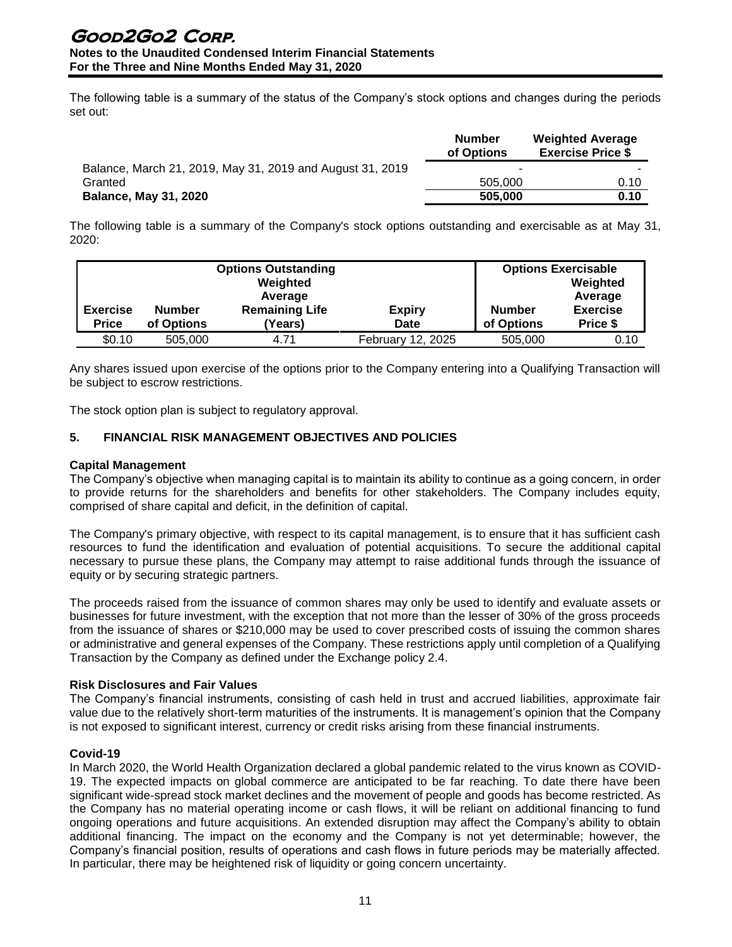The following table is a summary of the status of the Company's stock options and changes during the periods set out:

|                                                           | <b>Number</b><br>of Options | <b>Weighted Average</b><br><b>Exercise Price \$</b> |
|-----------------------------------------------------------|-----------------------------|-----------------------------------------------------|
| Balance, March 21, 2019, May 31, 2019 and August 31, 2019 |                             |                                                     |
| Granted                                                   | 505,000                     | 0.10                                                |
| <b>Balance, May 31, 2020</b>                              | 505,000                     | 0.10                                                |

The following table is a summary of the Company's stock options outstanding and exercisable as at May 31, 2020:

| <b>Options Outstanding</b><br>Weighted<br>Average |                             |                                  |                       | <b>Options Exercisable</b><br>Weighted<br>Average |                             |
|---------------------------------------------------|-----------------------------|----------------------------------|-----------------------|---------------------------------------------------|-----------------------------|
| <b>Exercise</b><br><b>Price</b>                   | <b>Number</b><br>of Options | <b>Remaining Life</b><br>(Years) | <b>Expiry</b><br>Date | <b>Number</b><br>of Options                       | <b>Exercise</b><br>Price \$ |
| \$0.10                                            | 505,000                     | 4.71                             | February 12, 2025     | 505,000                                           | 0.10                        |

Any shares issued upon exercise of the options prior to the Company entering into a Qualifying Transaction will be subject to escrow restrictions.

The stock option plan is subject to regulatory approval.

## **5. FINANCIAL RISK MANAGEMENT OBJECTIVES AND POLICIES**

#### **Capital Management**

The Company's objective when managing capital is to maintain its ability to continue as a going concern, in order to provide returns for the shareholders and benefits for other stakeholders. The Company includes equity, comprised of share capital and deficit, in the definition of capital.

The Company's primary objective, with respect to its capital management, is to ensure that it has sufficient cash resources to fund the identification and evaluation of potential acquisitions. To secure the additional capital necessary to pursue these plans, the Company may attempt to raise additional funds through the issuance of equity or by securing strategic partners.

The proceeds raised from the issuance of common shares may only be used to identify and evaluate assets or businesses for future investment, with the exception that not more than the lesser of 30% of the gross proceeds from the issuance of shares or \$210,000 may be used to cover prescribed costs of issuing the common shares or administrative and general expenses of the Company. These restrictions apply until completion of a Qualifying Transaction by the Company as defined under the Exchange policy 2.4.

## **Risk Disclosures and Fair Values**

The Company's financial instruments, consisting of cash held in trust and accrued liabilities, approximate fair value due to the relatively short-term maturities of the instruments. It is management's opinion that the Company is not exposed to significant interest, currency or credit risks arising from these financial instruments.

## **Covid-19**

In March 2020, the World Health Organization declared a global pandemic related to the virus known as COVID-19. The expected impacts on global commerce are anticipated to be far reaching. To date there have been significant wide-spread stock market declines and the movement of people and goods has become restricted. As the Company has no material operating income or cash flows, it will be reliant on additional financing to fund ongoing operations and future acquisitions. An extended disruption may affect the Company's ability to obtain additional financing. The impact on the economy and the Company is not yet determinable; however, the Company's financial position, results of operations and cash flows in future periods may be materially affected. In particular, there may be heightened risk of liquidity or going concern uncertainty.